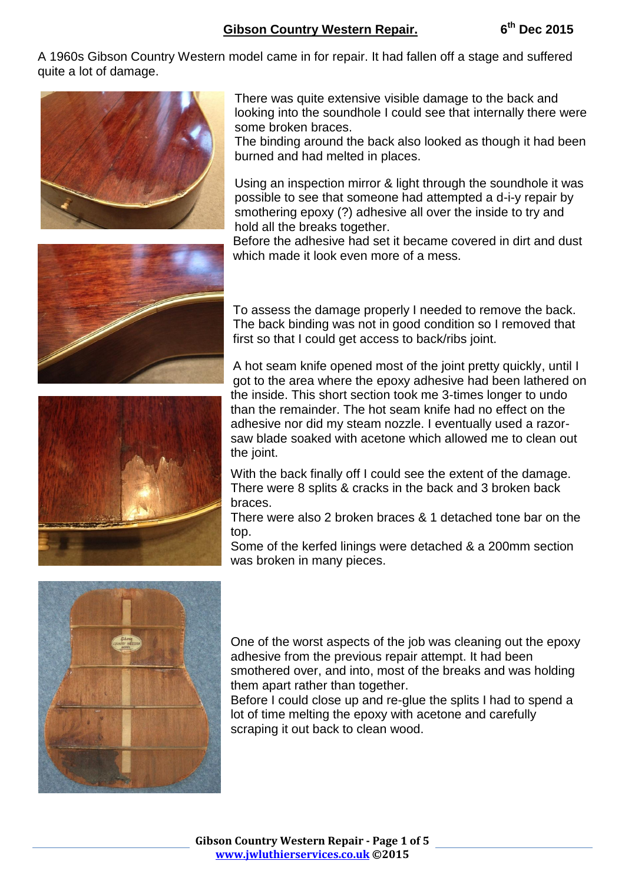A 1960s Gibson Country Western model came in for repair. It had fallen off a stage and suffered quite a lot of damage.







There was quite extensive visible damage to the back and looking into the soundhole I could see that internally there were some broken braces.

The binding around the back also looked as though it had been burned and had melted in places.

Using an inspection mirror & light through the soundhole it was possible to see that someone had attempted a d-i-y repair by smothering epoxy (?) adhesive all over the inside to try and hold all the breaks together.

Before the adhesive had set it became covered in dirt and dust which made it look even more of a mess.

To assess the damage properly I needed to remove the back. The back binding was not in good condition so I removed that first so that I could get access to back/ribs joint.

A hot seam knife opened most of the joint pretty quickly, until I got to the area where the epoxy adhesive had been lathered on the inside. This short section took me 3-times longer to undo than the remainder. The hot seam knife had no effect on the adhesive nor did my steam nozzle. I eventually used a razorsaw blade soaked with acetone which allowed me to clean out the joint.

With the back finally off I could see the extent of the damage. There were 8 splits & cracks in the back and 3 broken back braces.

There were also 2 broken braces & 1 detached tone bar on the top.

Some of the kerfed linings were detached & a 200mm section was broken in many pieces.



One of the worst aspects of the job was cleaning out the epoxy adhesive from the previous repair attempt. It had been smothered over, and into, most of the breaks and was holding them apart rather than together.

Before I could close up and re-glue the splits I had to spend a lot of time melting the epoxy with acetone and carefully scraping it out back to clean wood.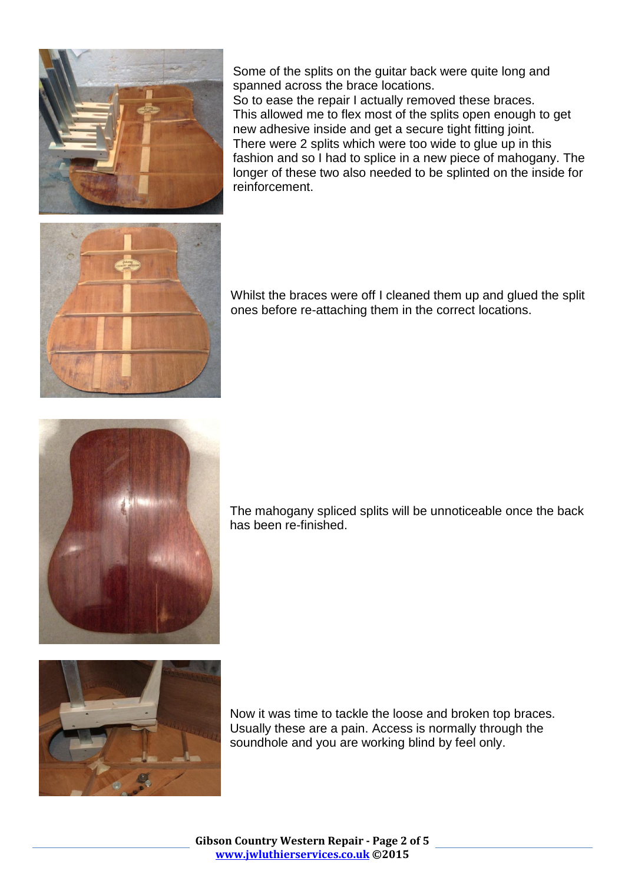

Some of the splits on the guitar back were quite long and spanned across the brace locations.

So to ease the repair I actually removed these braces. This allowed me to flex most of the splits open enough to get new adhesive inside and get a secure tight fitting joint. There were 2 splits which were too wide to glue up in this fashion and so I had to splice in a new piece of mahogany. The longer of these two also needed to be splinted on the inside for reinforcement.



Whilst the braces were off I cleaned them up and glued the split ones before re-attaching them in the correct locations.



The mahogany spliced splits will be unnoticeable once the back has been re-finished.



Now it was time to tackle the loose and broken top braces. Usually these are a pain. Access is normally through the soundhole and you are working blind by feel only.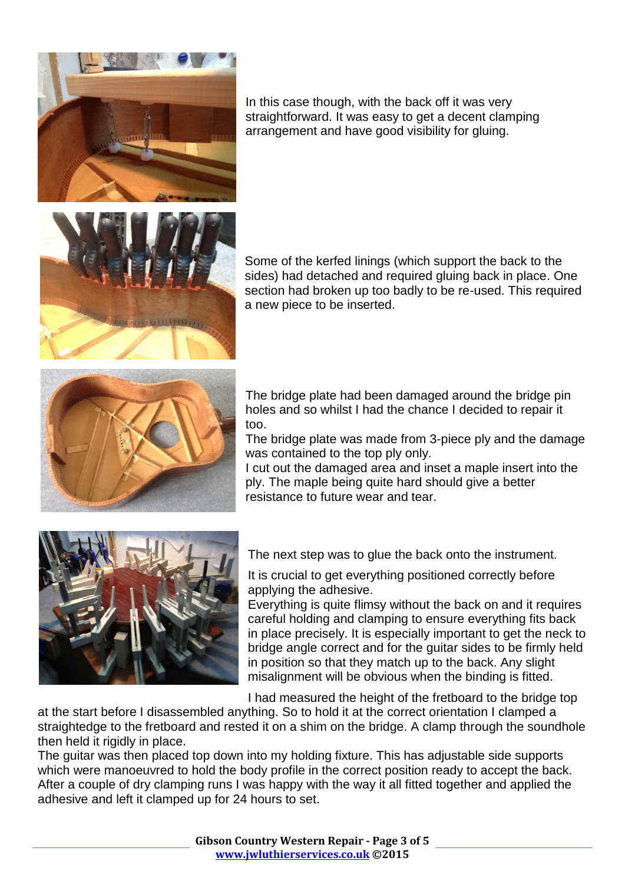

In this case though, with the back off it was very straightforward. It was easy to get a decent clamping arrangement and have good visibility for gluing.

Some of the kerfed linings (which support the back to the sides) had detached and required gluing back in place. One section had broken up too badly to be re-used. This required a new piece to be inserted.



The bridge plate had been damaged around the bridge pin holes and so whilst I had the chance I decided to repair it too.

The bridge plate was made from 3-piece ply and the damage was contained to the top ply only.

I cut out the damaged area and inset a maple insert into the ply. The maple being quite hard should give a better resistance to future wear and tear.



The next step was to glue the back onto the instrument.

It is crucial to get everything positioned correctly before applying the adhesive.

Everything is quite flimsy without the back on and it requires careful holding and clamping to ensure everything fits back in place precisely. It is especially important to get the neck to bridge angle correct and for the guitar sides to be firmly held in position so that they match up to the back. Any slight misalignment will be obvious when the binding is fitted.

I had measured the height of the fretboard to the bridge top

at the start before I disassembled anything. So to hold it at the correct orientation I clamped a straightedge to the fretboard and rested it on a shim on the bridge. A clamp through the soundhole then held it rigidly in place.

The guitar was then placed top down into my holding fixture. This has adjustable side supports which were manoeuvred to hold the body profile in the correct position ready to accept the back. After a couple of dry clamping runs I was happy with the way it all fitted together and applied the adhesive and left it clamped up for 24 hours to set.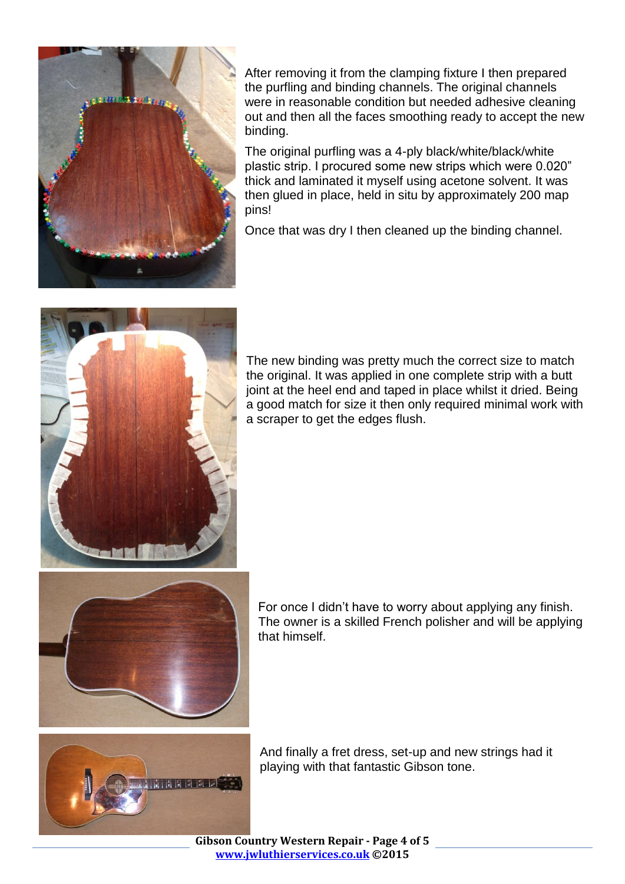

After removing it from the clamping fixture I then prepared the purfling and binding channels. The original channels were in reasonable condition but needed adhesive cleaning out and then all the faces smoothing ready to accept the new binding.

The original purfling was a 4-ply black/white/black/white plastic strip. I procured some new strips which were 0.020" thick and laminated it myself using acetone solvent. It was then glued in place, held in situ by approximately 200 map pins!

Once that was dry I then cleaned up the binding channel.



The new binding was pretty much the correct size to match the original. It was applied in one complete strip with a butt joint at the heel end and taped in place whilst it dried. Being a good match for size it then only required minimal work with a scraper to get the edges flush.



For once I didn't have to worry about applying any finish. The owner is a skilled French polisher and will be applying that himself.



And finally a fret dress, set-up and new strings had it playing with that fantastic Gibson tone.